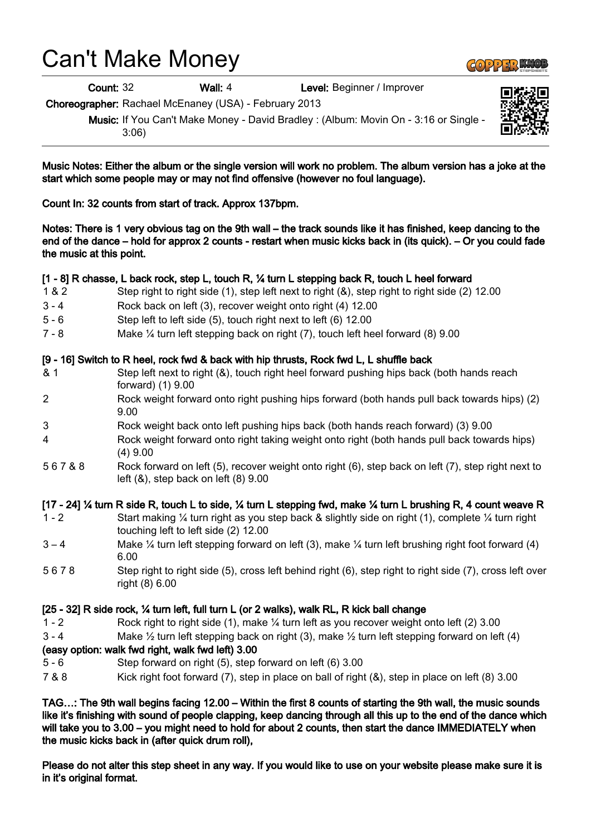# Can't Make Money

Count: 32 Wall: 4 Level: Beginner / Improver

Choreographer: Rachael McEnaney (USA) - February 2013

Music: If You Can't Make Money - David Bradley : (Album: Movin On - 3:16 or Single - 3:06)

Music Notes: Either the album or the single version will work no problem. The album version has a joke at the start which some people may or may not find offensive (however no foul language).

Count In: 32 counts from start of track. Approx 137bpm.

Notes: There is 1 very obvious tag on the 9th wall – the track sounds like it has finished, keep dancing to the end of the dance – hold for approx 2 counts - restart when music kicks back in (its quick). – Or you could fade the music at this point.

### [1 - 8] R chasse, L back rock, step L, touch R, ¼ turn L stepping back R, touch L heel forward

- 1 & 2 Step right to right side (1), step left next to right (&), step right to right side (2) 12.00
- 3 4 Rock back on left (3), recover weight onto right (4) 12.00
- 5 6 Step left to left side (5), touch right next to left (6) 12.00
- 7 8 Make ¼ turn left stepping back on right (7), touch left heel forward (8) 9.00

### [9 - 16] Switch to R heel, rock fwd & back with hip thrusts, Rock fwd L, L shuffle back

- & 1 Step left next to right (&), touch right heel forward pushing hips back (both hands reach forward) (1) 9.00
- 2 Rock weight forward onto right pushing hips forward (both hands pull back towards hips) (2) 9.00
- 3 Rock weight back onto left pushing hips back (both hands reach forward) (3) 9.00
- 4 Rock weight forward onto right taking weight onto right (both hands pull back towards hips) (4) 9.00
- 5 6 7 & 8 Rock forward on left (5), recover weight onto right (6), step back on left (7), step right next to left  $(8)$ , step back on left  $(8)$  9.00

### [17 - 24] ¼ turn R side R, touch L to side, ¼ turn L stepping fwd, make ¼ turn L brushing R, 4 count weave R

- 1 2 Start making ¼ turn right as you step back & slightly side on right (1), complete ¼ turn right touching left to left side (2) 12.00
- $3 4$  Make ¼ turn left stepping forward on left (3), make ¼ turn left brushing right foot forward (4) 6.00
- 5 6 7 8 Step right to right side (5), cross left behind right (6), step right to right side (7), cross left over right (8) 6.00

### [25 - 32] R side rock, ¼ turn left, full turn L (or 2 walks), walk RL, R kick ball change

- 1 2 Rock right to right side (1), make ¼ turn left as you recover weight onto left (2) 3.00
- 3 4 Make  $\frac{1}{2}$  turn left stepping back on right (3), make  $\frac{1}{2}$  turn left stepping forward on left (4)

### (easy option: walk fwd right, walk fwd left) 3.00

- 5 6 Step forward on right (5), step forward on left (6) 3.00
- 7 & 8 Kick right foot forward (7), step in place on ball of right (&), step in place on left (8) 3.00

TAG…: The 9th wall begins facing 12.00 – Within the first 8 counts of starting the 9th wall, the music sounds like it's finishing with sound of people clapping, keep dancing through all this up to the end of the dance which will take you to 3.00 – you might need to hold for about 2 counts, then start the dance IMMEDIATELY when the music kicks back in (after quick drum roll),

Please do not alter this step sheet in any way. If you would like to use on your website please make sure it is in it's original format.